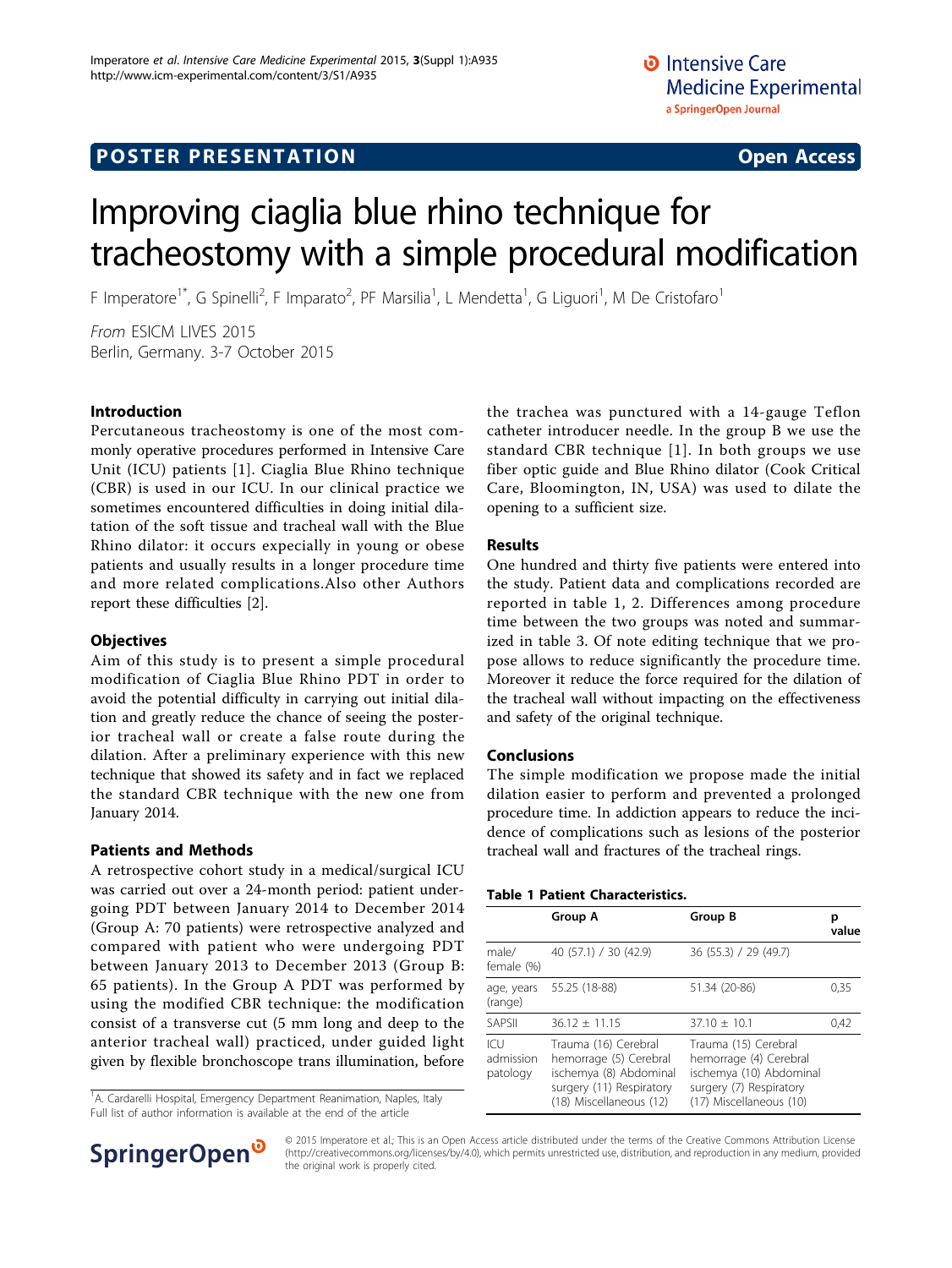# Improving ciaglia blue rhino technique for tracheostomy with a simple procedural modification

F Imperatore<sup>1\*</sup>, G Spinelli<sup>2</sup>, F Imparato<sup>2</sup>, PF Marsilia<sup>1</sup>, L Mendetta<sup>1</sup>, G Liguori<sup>1</sup>, M De Cristofaro<sup>1</sup>

From ESICM LIVES 2015 Berlin, Germany. 3-7 October 2015

# Introduction

Percutaneous tracheostomy is one of the most commonly operative procedures performed in Intensive Care Unit (ICU) patients [[1](#page-1-0)]. Ciaglia Blue Rhino technique (CBR) is used in our ICU. In our clinical practice we sometimes encountered difficulties in doing initial dilatation of the soft tissue and tracheal wall with the Blue Rhino dilator: it occurs expecially in young or obese patients and usually results in a longer procedure time and more related complications.Also other Authors report these difficulties [[2\]](#page-1-0).

# **Objectives**

Aim of this study is to present a simple procedural modification of Ciaglia Blue Rhino PDT in order to avoid the potential difficulty in carrying out initial dilation and greatly reduce the chance of seeing the posterior tracheal wall or create a false route during the dilation. After a preliminary experience with this new technique that showed its safety and in fact we replaced the standard CBR technique with the new one from January 2014.

# Patients and Methods

A retrospective cohort study in a medical/surgical ICU was carried out over a 24-month period: patient undergoing PDT between January 2014 to December 2014 (Group A: 70 patients) were retrospective analyzed and compared with patient who were undergoing PDT between January 2013 to December 2013 (Group B: 65 patients). In the Group A PDT was performed by using the modified CBR technique: the modification consist of a transverse cut (5 mm long and deep to the anterior tracheal wall) practiced, under guided light given by flexible bronchoscope trans illumination, before

<sup>1</sup>A. Cardarelli Hospital, Emergency Department Reanimation, Naples, Italy Full list of author information is available at the end of the article

the trachea was punctured with a 14-gauge Teflon catheter introducer needle. In the group B we use the standard CBR technique [[1](#page-1-0)]. In both groups we use fiber optic guide and Blue Rhino dilator (Cook Critical Care, Bloomington, IN, USA) was used to dilate the opening to a sufficient size.

# Results

One hundred and thirty five patients were entered into the study. Patient data and complications recorded are reported in table 1, [2.](#page-1-0) Differences among procedure time between the two groups was noted and summarized in table [3.](#page-1-0) Of note editing technique that we propose allows to reduce significantly the procedure time. Moreover it reduce the force required for the dilation of the tracheal wall without impacting on the effectiveness and safety of the original technique.

# Conclusions

The simple modification we propose made the initial dilation easier to perform and prevented a prolonged procedure time. In addiction appears to reduce the incidence of complications such as lesions of the posterior tracheal wall and fractures of the tracheal rings.

# Table 1 Patient Characteristics.

|                              | Group A                                                                                                                         | Group B                                                                                                                         | р<br>value |
|------------------------------|---------------------------------------------------------------------------------------------------------------------------------|---------------------------------------------------------------------------------------------------------------------------------|------------|
| male/<br>female (%)          | 40 (57.1) / 30 (42.9)                                                                                                           | 36 (55.3) / 29 (49.7)                                                                                                           |            |
| age, years<br>(range)        | 55.25 (18-88)                                                                                                                   | 51.34 (20-86)                                                                                                                   | 0,35       |
| <b>SAPSII</b>                | $36.12 \pm 11.15$                                                                                                               | $37.10 \pm 10.1$                                                                                                                | 0,42       |
| ICU<br>admission<br>patology | Trauma (16) Cerebral<br>hemorrage (5) Cerebral<br>ischemya (8) Abdominal<br>surgery (11) Respiratory<br>(18) Miscellaneous (12) | Trauma (15) Cerebral<br>hemorrage (4) Cerebral<br>ischemya (10) Abdominal<br>surgery (7) Respiratory<br>(17) Miscellaneous (10) |            |



© 2015 Imperatore et al.; This is an Open Access article distributed under the terms of the Creative Commons Attribution License [\(http://creativecommons.org/licenses/by/4.0](http://creativecommons.org/licenses/by/4.0)), which permits unrestricted use, distribution, and reproduction in any medium, provided the original work is properly cited.